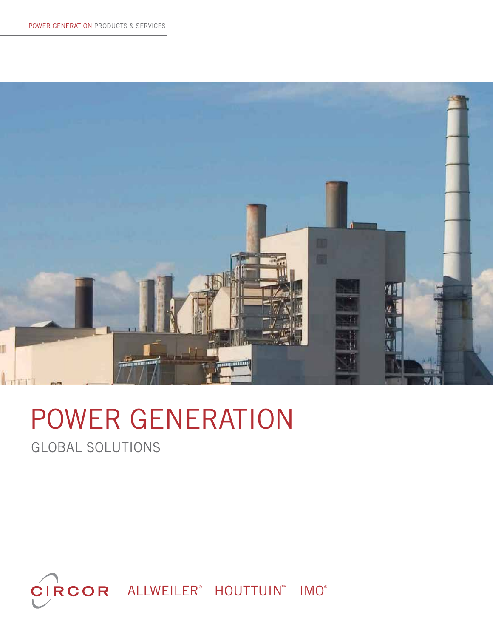

# POWER GENERATION

GLOBAL SOLUTIONS

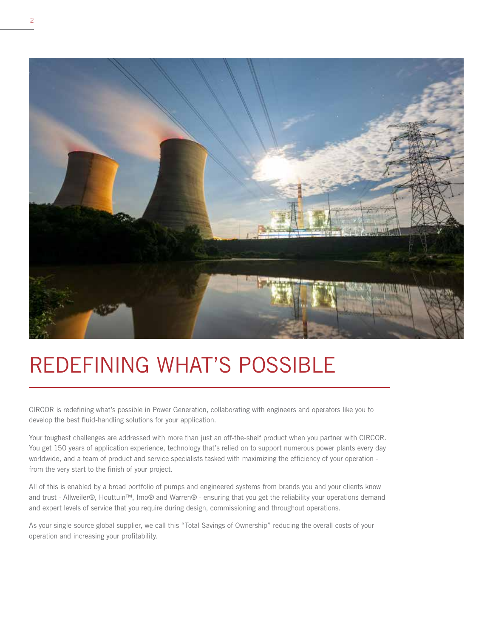

# REDEFINING WHAT'S POSSIBLE

CIRCOR is redefining what's possible in Power Generation, collaborating with engineers and operators like you to develop the best fluid-handling solutions for your application.

Your toughest challenges are addressed with more than just an off-the-shelf product when you partner with CIRCOR. You get 150 years of application experience, technology that's relied on to support numerous power plants every day worldwide, and a team of product and service specialists tasked with maximizing the efficiency of your operation from the very start to the finish of your project.

All of this is enabled by a broad portfolio of pumps and engineered systems from brands you and your clients know and trust - Allweiler®, Houttuin™, Imo® and Warren® - ensuring that you get the reliability your operations demand and expert levels of service that you require during design, commissioning and throughout operations.

As your single-source global supplier, we call this "Total Savings of Ownership" reducing the overall costs of your operation and increasing your profitability.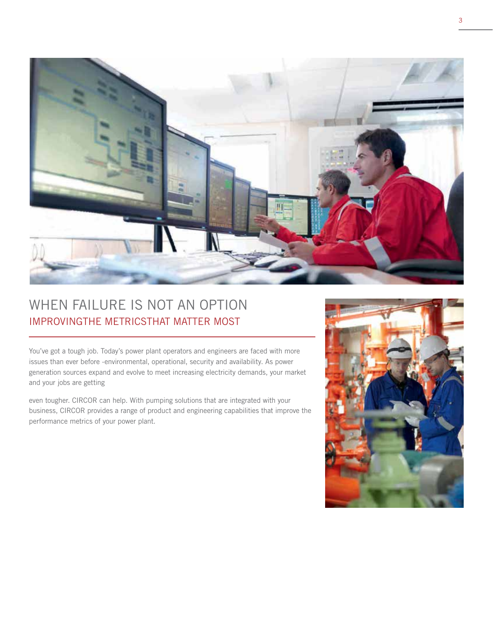

## WHEN FAILURE IS NOT AN OPTION IMPROVINGTHE METRICSTHAT MATTER MOST

You've got a tough job. Today's power plant operators and engineers are faced with more issues than ever before -environmental, operational, security and availability. As power generation sources expand and evolve to meet increasing electricity demands, your market and your jobs are getting

even tougher. CIRCOR can help. With pumping solutions that are integrated with your business, CIRCOR provides a range of product and engineering capabilities that improve the performance metrics of your power plant.

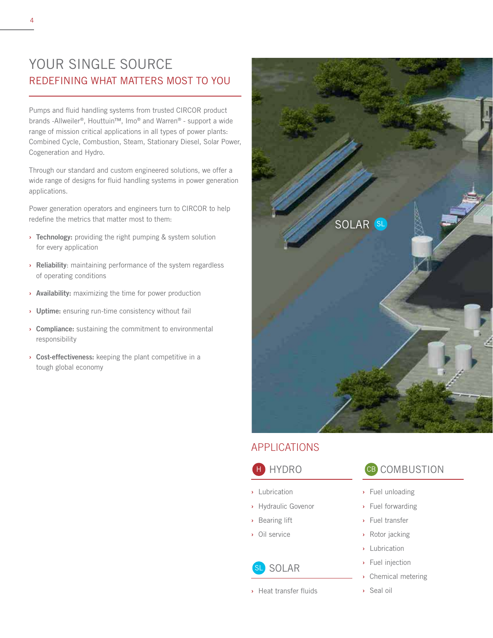#### YOUR SINGLE SOURCE REDEFINING WHAT MATTERS MOST TO YOU

Pumps and fluid handling systems from trusted CIRCOR product brands -Allweiler®, Houttuin™, Imo® and Warren® - support a wide range of mission critical applications in all types of power plants: Combined Cycle, Combustion, Steam, Stationary Diesel, Solar Power, Cogeneration and Hydro.

Through our standard and custom engineered solutions, we offer a wide range of designs for fluid handling systems in power generation applications.

Power generation operators and engineers turn to CIRCOR to help redefine the metrics that matter most to them:

- **›** Technology: providing the right pumping & system solution for every application
- **›** Reliability: maintaining performance of the system regardless of operating conditions
- **›** Availability: maximizing the time for power production
- **›** Uptime: ensuring run-time consistency without fail
- **›** Compliance: sustaining the commitment to environmental responsibility
- **›** Cost-effectiveness: keeping the plant competitive in a tough global economy



#### APPLICATIONS

#### **HYDRO**

- **›** Lubrication
- **›** Hydraulic Govenor
- **›** Bearing lift
- **›** Oil service

#### SOLAR SL

**›** Heat transfer fluids

#### CB COMBUSTION

- **›** Fuel unloading
- **›** Fuel forwarding
- **›** Fuel transfer
- **›** Rotor jacking
- **›** Lubrication
- **›** Fuel injection
- **›** Chemical metering
- **›** Seal oil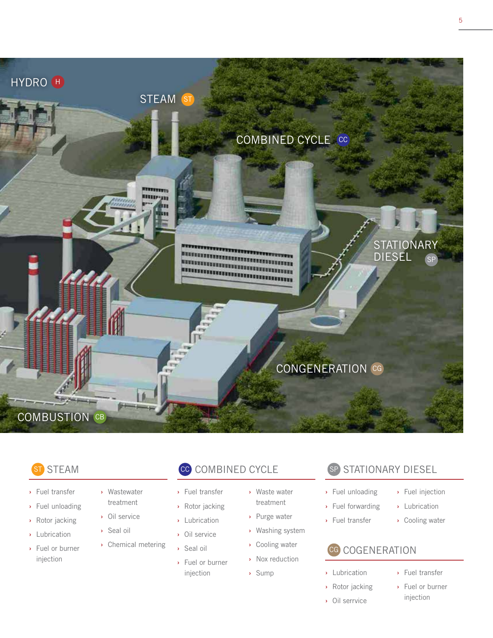

#### STEAM ST

- **›** Fuel transfer
- **›** Fuel unloading
- **›** Rotor jacking
- **›** Lubrication
- **›** Fuel or burner injection
- **›** Wastewater treatment
- **›** Oil service
- **›** Seal oil
- **›** Chemical metering

#### cc COMBINED CYCLE

- **›** Fuel transfer
- **›** Rotor jacking
- **›** Lubrication
- **›** Oil service
- **›** Seal oil
- **›** Fuel or burner injection
- **›** Waste water treatment
- **›** Purge water
- **›** Washing system
- **›** Cooling water
- **›** Nox reduction
	- **›** Sump

#### SP STATIONARY DIESEL

- **›** Fuel unloading
- **›** Fuel forwarding
- **›** Fuel transfer
- **›** Fuel injection
- **›** Lubrication
- **›** Cooling water

#### CG COGENERATION

- **›** Lubrication
- **›** Rotor jacking **›** Oil serrvice
- **›** Fuel transfer
- **›** Fuel or burner injection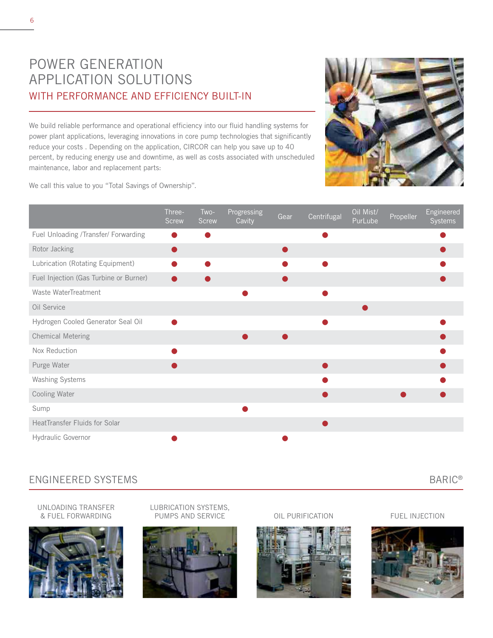### POWER GENERATION APPLICATION SOLUTIONS WITH PERFORMANCE AND EFFICIENCY BUILT-IN

We build reliable performance and operational efficiency into our fluid handling systems for power plant applications, leveraging innovations in core pump technologies that significantly reduce your costs . Depending on the application, CIRCOR can help you save up to 40 percent, by reducing energy use and downtime, as well as costs associated with unscheduled maintenance, labor and replacement parts:

We call this value to you "Total Savings of Ownership".

|                                        | Three-<br><b>Screw</b> | Two-<br><b>Screw</b> | Progressing<br>Cavity | Gear | Centrifugal | Oil Mist/<br>PurLube | Propeller | Engineered<br>Systems |
|----------------------------------------|------------------------|----------------------|-----------------------|------|-------------|----------------------|-----------|-----------------------|
| Fuel Unloading /Transfer/ Forwarding   |                        |                      |                       |      |             |                      |           |                       |
| Rotor Jacking                          | Ð                      |                      |                       |      |             |                      |           |                       |
| Lubrication (Rotating Equipment)       |                        |                      |                       |      |             |                      |           |                       |
| Fuel Injection (Gas Turbine or Burner) |                        |                      |                       |      |             |                      |           |                       |
| Waste WaterTreatment                   |                        |                      |                       |      |             |                      |           |                       |
| Oil Service                            |                        |                      |                       |      |             |                      |           |                       |
| Hydrogen Cooled Generator Seal Oil     | ●                      |                      |                       |      |             |                      |           |                       |
| <b>Chemical Metering</b>               |                        |                      |                       |      |             |                      |           |                       |
| Nox Reduction                          |                        |                      |                       |      |             |                      |           |                       |
| Purge Water                            |                        |                      |                       |      |             |                      |           |                       |
| Washing Systems                        |                        |                      |                       |      |             |                      |           |                       |
| Cooling Water                          |                        |                      |                       |      |             |                      |           |                       |
| Sump                                   |                        |                      |                       |      |             |                      |           |                       |
| HeatTransfer Fluids for Solar          |                        |                      |                       |      |             |                      |           |                       |
| Hydraulic Governor                     |                        |                      |                       |      |             |                      |           |                       |

#### ENGINEERED SYSTEMS BARIC®

UNLOADING TRANSFER & FUEL FORWARDING



LUBRICATION SYSTEMS, PUMPS AND SERVICE OIL PURIFICATION FUEL INJECTION





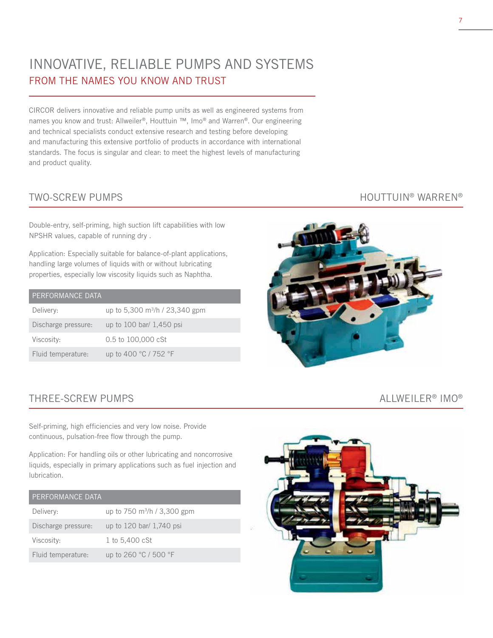### INNOVATIVE, RELIABLE PUMPS AND SYSTEMS FROM THE NAMES YOU KNOW AND TRUST

CIRCOR delivers innovative and reliable pump units as well as engineered systems from names you know and trust: Allweiler®, Houttuin ™, Imo® and Warren®. Our engineering and technical specialists conduct extensive research and testing before developing and manufacturing this extensive portfolio of products in accordance with international standards. The focus is singular and clear: to meet the highest levels of manufacturing and product quality.

Double-entry, self-priming, high suction lift capabilities with low NPSHR values, capable of running dry .

Application: Especially suitable for balance-of-plant applications, handling large volumes of liquids with or without lubricating properties, especially low viscosity liquids such as Naphtha.

| PERFORMANCE DATA    |                                      |
|---------------------|--------------------------------------|
| Delivery:           | up to 5,300 $\rm m^3/h$ / 23,340 gpm |
| Discharge pressure: | up to 100 bar/ 1,450 psi             |
| Viscosity:          | 0.5 to 100,000 cSt                   |
| Fluid temperature:  | up to 400 °C / 752 °F                |

#### TWO-SCREW PUMPS TWO-SCREW PUMPS

#### THREE-SCREW PUMPS  $\overline{A}$  and  $\overline{A}$  and  $\overline{A}$  and  $\overline{A}$  and  $\overline{A}$  and  $\overline{A}$  and  $\overline{A}$  and  $\overline{A}$  and  $\overline{A}$  and  $\overline{A}$  and  $\overline{A}$  and  $\overline{A}$  and  $\overline{A}$  and  $\overline{A}$  and  $\overline{A}$  and  $\overline{A}$

Self-priming, high efficiencies and very low noise. Provide continuous, pulsation-free flow through the pump.

Application: For handling oils or other lubricating and noncorrosive liquids, especially in primary applications such as fuel injection and lubrication.

#### PERFORMANCE DATA

| Delivery:           | up to 750 m <sup>3</sup> /h / 3,300 gpm |
|---------------------|-----------------------------------------|
| Discharge pressure: | up to 120 bar/ 1,740 psi                |
| Viscosity:          | 1 to 5.400 cSt                          |
| Fluid temperature:  | up to 260 °C / 500 °F                   |



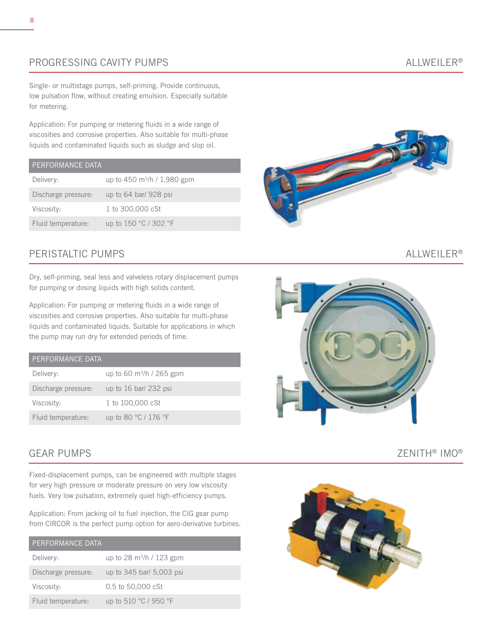#### PROGRESSING CAVITY PUMPS ALLWEILER®

Single- or multistage pumps, self-priming. Provide continuous, low pulsation flow, without creating emulsion. Especially suitable for metering.

Application: For pumping or metering fluids in a wide range of viscosities and corrosive properties. Also suitable for multi-phase liquids and contaminated liquids such as sludge and slop oil.

#### PERFORMANCE DATA

| Delivery:           | up to 450 $\rm m^3/h$ / 1,980 gpm |
|---------------------|-----------------------------------|
| Discharge pressure: | up to $64$ bar/ 928 psi           |
| Viscosity:          | 1 to 300,000 cSt                  |
| Fluid temperature:  | up to 150 °C / 302 °F             |

#### PERISTALTIC PUMPS ALLWEILER®

Dry, self-priming, seal less and valveless rotary displacement pumps for pumping or dosing liquids with high solids content.

Application: For pumping or metering fluids in a wide range of viscosities and corrosive properties. Also suitable for multi-phase liquids and contaminated liquids. Suitable for applications in which the pump may run dry for extended periods of time.

| PERFORMANCE DATA    |                                |
|---------------------|--------------------------------|
| Delivery:           | up to 60 $\rm m^3/h$ / 265 gpm |
| Discharge pressure: | up to $16$ bar/ 232 psi        |
| Viscosity:          | 1 to 100,000 cSt               |
| Fluid temperature:  | up to 80 °C / 176 °F           |

Fixed-displacement pumps, can be engineered with multiple stages for very high pressure or moderate pressure on very low viscosity fuels. Very low pulsation, extremely quiet high-efficiency pumps.

Application: From jacking oil to fuel injection, the CIG gear pump from CIRCOR is the perfect pump option for aero-derivative turbines.

| <b>PERFORMANCE DATA</b> |                                |
|-------------------------|--------------------------------|
| Delivery:               | up to 28 $\rm m^3/h$ / 123 gpm |
| Discharge pressure:     | up to 345 bar/ 5,003 psi       |
| Viscosity:              | 0.5 to 50,000 cSt              |
| Fluid temperature:      | up to 510 °C / 950 °F          |





#### GEAR PUMPS THE CONTROL OF A SECOND AND THE CONTROL OF A SECOND AND THE CONTROL OF A SECOND AND THE CONTROL OF A SECOND AND THE CONTROL OF A SECOND AND THE CONTROL OF A SECOND AND THE CONTROL OF A SECOND ASSESSMENT OF A SEC

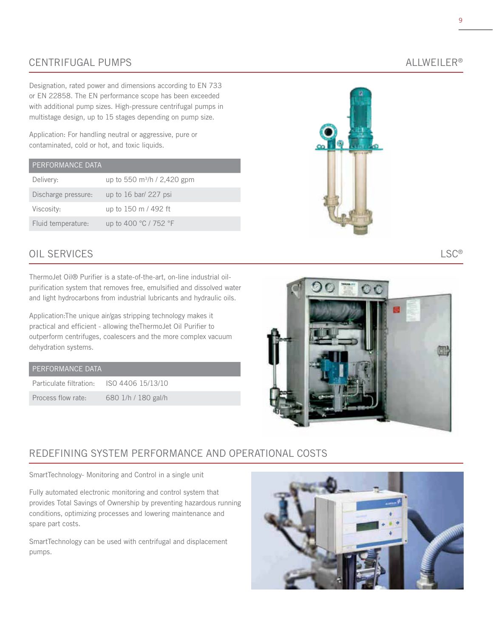#### CENTRIFUGAL PUMPS ALLWEILER®

Designation, rated power and dimensions according to EN 733 or EN 22858. The EN performance scope has been exceeded with additional pump sizes. High-pressure centrifugal pumps in multistage design, up to 15 stages depending on pump size.

Application: For handling neutral or aggressive, pure or contaminated, cold or hot, and toxic liquids.

#### PERFORMANCE DATA

| Delivery:           | up to 550 $m^3/h / 2,420$ gpm |
|---------------------|-------------------------------|
| Discharge pressure: | up to $16$ bar/ 227 psi       |
| Viscosity:          | up to 150 m / 492 ft          |
| Fluid temperature:  | up to 400 °C / 752 °F         |

#### OIL SERVICES LSC®

ThermoJet Oil® Purifier is a state-of-the-art, on-line industrial oilpurification system that removes free, emulsified and dissolved water and light hydrocarbons from industrial lubricants and hydraulic oils.

Application:The unique air/gas stripping technology makes it practical and efficient - allowing theThermoJet Oil Purifier to outperform centrifuges, coalescers and the more complex vacuum dehydration systems.

| PERFORMANCE DATA |  |
|------------------|--|
|                  |  |

| Particulate filtration: | ISO 4406 15/13/10   |
|-------------------------|---------------------|
| Process flow rate:      | 680 1/h / 180 gal/h |



# $\circ$   $\circ$

#### REDEFINING SYSTEM PERFORMANCE AND OPERATIONAL COSTS

SmartTechnology- Monitoring and Control in a single unit

Fully automated electronic monitoring and control system that provides Total Savings of Ownership by preventing hazardous running conditions, optimizing processes and lowering maintenance and spare part costs.

SmartTechnology can be used with centrifugal and displacement pumps.

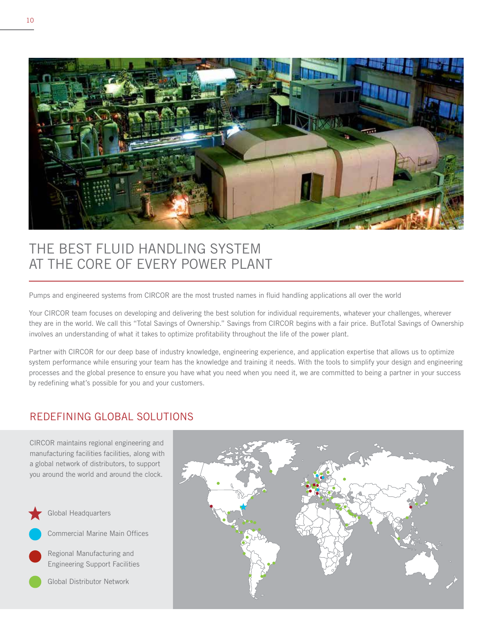

## THE BEST FLUID HANDLING SYSTEM AT THE CORE OF EVERY POWER PLANT

Pumps and engineered systems from CIRCOR are the most trusted names in fluid handling applications all over the world

Your CIRCOR team focuses on developing and delivering the best solution for individual requirements, whatever your challenges, wherever they are in the world. We call this "Total Savings of Ownership." Savings from CIRCOR begins with a fair price. ButTotal Savings of Ownership involves an understanding of what it takes to optimize profitability throughout the life of the power plant.

Partner with CIRCOR for our deep base of industry knowledge, engineering experience, and application expertise that allows us to optimize system performance while ensuring your team has the knowledge and training it needs. With the tools to simplify your design and engineering processes and the global presence to ensure you have what you need when you need it, we are committed to being a partner in your success by redefining what's possible for you and your customers.

#### REDEFINING GLOBAL SOLUTIONS

CIRCOR maintains regional engineering and manufacturing facilities facilities, along with a global network of distributors, to support you around the world and around the clock.



Global Headquarters



Commercial Marine Main Offices

Regional Manufacturing and Engineering Support Facilities

Global Distributor Network